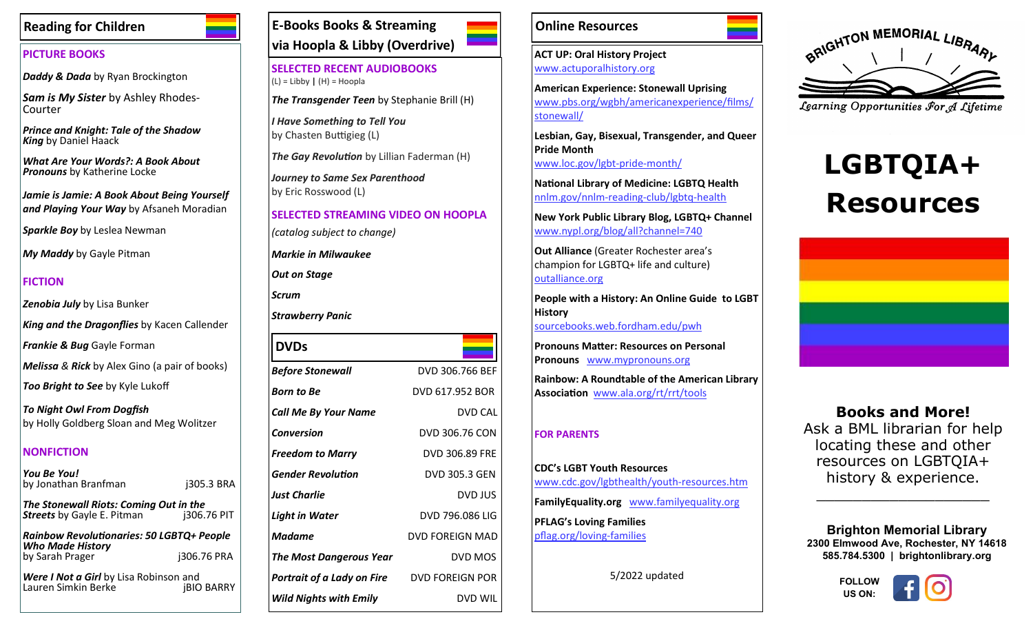# **Reading for Children**

### **PICTURE BOOKS**

*Daddy & Dada* by Ryan Brockington

*Sam is My Sister* by Ashley Rhodes-Courter

*Prince and Knight: Tale of the Shadow King* by Daniel Haack

*What Are Your Words?: A Book About Pronouns* by Katherine Locke

*Jamie is Jamie: A Book About Being Yourself and Playing Your Way* by Afsaneh Moradian

*Sparkle Boy* by Leslea Newman

*My Maddy* by Gayle Pitman

# **FICTION**

*Zenobia July* by Lisa Bunker

*King and the Dragonflies* by Kacen Callender

*Frankie & Bug* Gayle Forman

*Melissa & Rick* by Alex Gino (a pair of books)

*Too Bright to See* by Kyle Lukoff

*To Night Owl From Dogfish* by Holly Goldberg Sloan and Meg Wolitzer

### **NONFICTION**

*You Be You!* by Jonathan Branfman j305.3 BRA

*The Stonewall Riots: Coming Out in the*  **Streets** by Gayle E. Pitman

*Rainbow Revolutionaries: 50 LGBTQ+ People Who Made History* by Sarah Prager j306.76 PRA

*Were I Not a Girl* by Lisa Robinson and Lauren Simkin Berke

# **E-Books Books & Streaming via Hoopla & Libby (Overdrive)**

**SELECTED RECENT AUDIOBOOKS**  (L) = Libby **|** (H) = Hoopla

*The Transgender Teen* by Stephanie Brill (H)

*I Have Something to Tell You*  by Chasten Buttigieg (L)

*The Gay Revolution* by Lillian Faderman (H)

*Journey to Same Sex Parenthood* by Eric Rosswood (L)

**SELECTED STREAMING VIDEO ON HOOPLA** *(catalog subject to change)*

*Markie in Milwaukee*

*Out on Stage*

*Scrum*

*Strawberry Panic*

| <b>DVDs</b>                    |                        |
|--------------------------------|------------------------|
| Before Stonewall               | DVD 306.766 BEF        |
| Born to Be                     | DVD 617.952 BOR        |
| Call Me By Your Name           | <b>DVD CAL</b>         |
| Conversion                     | DVD 306.76 CON         |
| <b>Freedom to Marry</b>        | DVD 306.89 FRE         |
| Gender Revolution              | <b>DVD 305.3 GEN</b>   |
| Just Charlie                   | <b>DVD JUS</b>         |
| Light in Water                 | DVD 796.086 LIG        |
| Madame                         | <b>DVD FOREIGN MAD</b> |
| <b>The Most Dangerous Year</b> | DVD MOS                |
| Portrait of a Lady on Fire     | <b>DVD FOREIGN POR</b> |
| <b>Wild Nights with Emily</b>  | <b>DVD WIL</b>         |

# **Online Resources**

**ACT UP: Oral History Project**  [www.actuporalhistory.org](http://www.actuporalhistory.org/)

**American Experience: Stonewall Uprising**  [www.pbs.org/wgbh/americanexperience/films/](https://www.pbs.org/wgbh/americanexperience/films/stonewall/) [stonewall/](https://www.pbs.org/wgbh/americanexperience/films/stonewall/)

**Lesbian, Gay, Bisexual, Transgender, and Queer Pride Month**  [www.loc.gov/lgbt](https://www.loc.gov/lgbt-pride-month/)-pride-month/

**National Library of Medicine: LGBTQ Health**  [nnlm.gov/nnlm](https://nnlm.gov/nnlm-reading-club/lgbtq-health)-reading-club/lgbtq-health

**New York Public Library Blog, LGBTQ+ Channel**  [www.nypl.org/blog/all?channel=740](https://www.nypl.org/blog/all?channel=740)

**Out Alliance** (Greater Rochester area's champion for LGBTQ+ life and culture) [outalliance.org](https://outalliance.org/) 

**People with a History: An Online Guide to LGBT History**  [sourcebooks.web.fordham.edu/pwh](https://sourcebooks.web.fordham.edu/pwh/)

**Pronouns Matter: Resources on Personal Pronouns** [www.mypronouns.org](https://www.mypronouns.org/)

**Rainbow: A Roundtable of the American Library Association** [www.ala.org/rt/rrt/tools](http://www.ala.org/rt/rrt/tools)

# **FOR PARENTS**

**CDC's LGBT Youth Resources** [www.cdc.gov/lgbthealth/youth](https://www.cdc.gov/lgbthealth/youth-resources.htm)-resources.htm **FamilyEquality.org** [www.familyequality.org](https://www.familyequality.org/) **PFLAG's Loving Families**  [pflag.org/loving](https://pflag.org/loving-families)-families

5/2022 updated



Learning Opportunities For A Lifetime

# **LGBTQIA+ Resources**



**Books and More!** Ask a BML librarian for help locating these and other resources on LGBTQIA+ history & experience.

\_\_\_\_\_\_\_\_\_\_\_\_\_\_\_\_\_\_\_

**Brighton Memorial Library 2300 Elmwood Ave, Rochester, NY 14618 585.784.5300 | brightonlibrary.org**